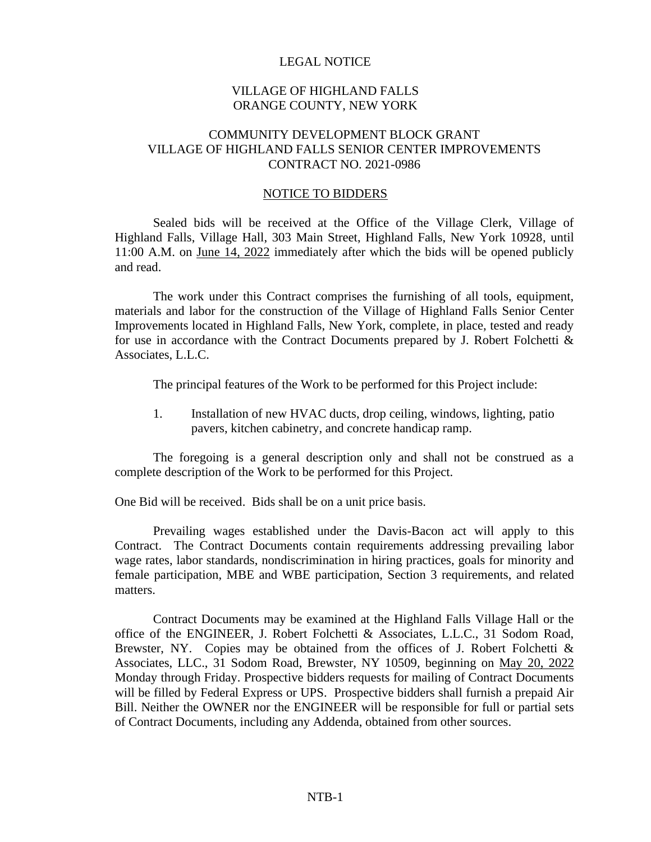### LEGAL NOTICE

### VILLAGE OF HIGHLAND FALLS ORANGE COUNTY, NEW YORK

## COMMUNITY DEVELOPMENT BLOCK GRANT VILLAGE OF HIGHLAND FALLS SENIOR CENTER IMPROVEMENTS CONTRACT NO. 2021-0986

#### NOTICE TO BIDDERS

Sealed bids will be received at the Office of the Village Clerk, Village of Highland Falls, Village Hall, 303 Main Street, Highland Falls, New York 10928, until 11:00 A.M. on June 14, 2022 immediately after which the bids will be opened publicly and read.

The work under this Contract comprises the furnishing of all tools, equipment, materials and labor for the construction of the Village of Highland Falls Senior Center Improvements located in Highland Falls, New York, complete, in place, tested and ready for use in accordance with the Contract Documents prepared by J. Robert Folchetti & Associates, L.L.C.

The principal features of the Work to be performed for this Project include:

1. Installation of new HVAC ducts, drop ceiling, windows, lighting, patio pavers, kitchen cabinetry, and concrete handicap ramp.

The foregoing is a general description only and shall not be construed as a complete description of the Work to be performed for this Project.

One Bid will be received. Bids shall be on a unit price basis.

Prevailing wages established under the Davis-Bacon act will apply to this Contract. The Contract Documents contain requirements addressing prevailing labor wage rates, labor standards, nondiscrimination in hiring practices, goals for minority and female participation, MBE and WBE participation, Section 3 requirements, and related matters.

Contract Documents may be examined at the Highland Falls Village Hall or the office of the ENGINEER, J. Robert Folchetti & Associates, L.L.C., 31 Sodom Road, Brewster, NY. Copies may be obtained from the offices of J. Robert Folchetti & Associates, LLC., 31 Sodom Road, Brewster, NY 10509, beginning on May 20, 2022 Monday through Friday. Prospective bidders requests for mailing of Contract Documents will be filled by Federal Express or UPS. Prospective bidders shall furnish a prepaid Air Bill. Neither the OWNER nor the ENGINEER will be responsible for full or partial sets of Contract Documents, including any Addenda, obtained from other sources.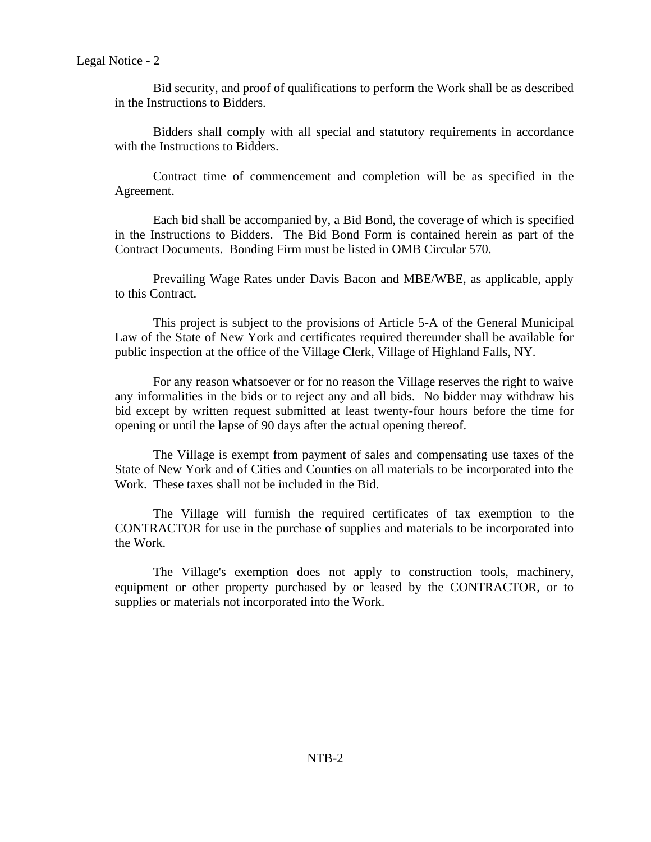Bid security, and proof of qualifications to perform the Work shall be as described in the Instructions to Bidders.

Bidders shall comply with all special and statutory requirements in accordance with the Instructions to Bidders.

Contract time of commencement and completion will be as specified in the Agreement.

Each bid shall be accompanied by, a Bid Bond, the coverage of which is specified in the Instructions to Bidders. The Bid Bond Form is contained herein as part of the Contract Documents. Bonding Firm must be listed in OMB Circular 570.

Prevailing Wage Rates under Davis Bacon and MBE/WBE, as applicable, apply to this Contract.

This project is subject to the provisions of Article 5-A of the General Municipal Law of the State of New York and certificates required thereunder shall be available for public inspection at the office of the Village Clerk, Village of Highland Falls, NY.

For any reason whatsoever or for no reason the Village reserves the right to waive any informalities in the bids or to reject any and all bids. No bidder may withdraw his bid except by written request submitted at least twenty-four hours before the time for opening or until the lapse of 90 days after the actual opening thereof.

The Village is exempt from payment of sales and compensating use taxes of the State of New York and of Cities and Counties on all materials to be incorporated into the Work. These taxes shall not be included in the Bid.

The Village will furnish the required certificates of tax exemption to the CONTRACTOR for use in the purchase of supplies and materials to be incorporated into the Work.

The Village's exemption does not apply to construction tools, machinery, equipment or other property purchased by or leased by the CONTRACTOR, or to supplies or materials not incorporated into the Work.